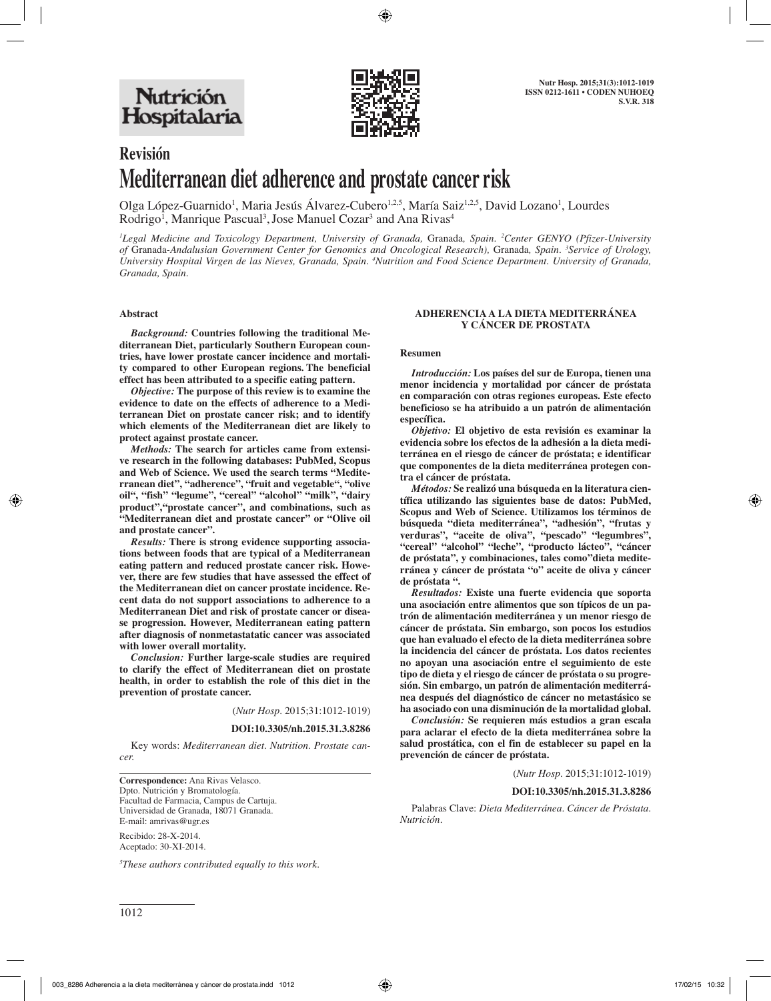

# **Revisión Mediterranean diet adherence and prostate cancer risk**

Olga López-Guarnido<sup>1</sup>, Maria Jesús Alvarez-Cubero<sup>1,2,5</sup>, María Saiz<sup>1,2,5</sup>, David Lozano<sup>1</sup>, Lourdes Rodrigo<sup>1</sup>, Manrique Pascual<sup>3</sup>, Jose Manuel Cozar<sup>3</sup> and Ana Rivas<sup>4</sup>

*1 Legal Medicine and Toxicology Department, University of Granada,* Granada*, Spain. 2 Center GENYO (Pfizer-University of* Granada*-Andalusian Government Center for Genomics and Oncological Research),* Granada*, Spain. 3 Service of Urology,*  University Hospital Virgen de las Nieves, Granada, Spain. <sup>4</sup>Nutrition and Food Science Department. University of Granada, *Granada, Spain.*

#### **Abstract**

*Background:* **Countries following the traditional Mediterranean Diet, particularly Southern European countries, have lower prostate cancer incidence and mortality compared to other European regions. The beneficial effect has been attributed to a specific eating pattern.**

*Objective:* **The purpose of this review is to examine the evidence to date on the effects of adherence to a Mediterranean Diet on prostate cancer risk; and to identify which elements of the Mediterranean diet are likely to protect against prostate cancer.** 

*Methods:* **The search for articles came from extensive research in the following databases: PubMed, Scopus and Web of Science. We used the search terms "Mediterranean diet", "adherence", "fruit and vegetable", "olive oil", "fish" "legume", "cereal" "alcohol" "milk", "dairy product","prostate cancer", and combinations, such as "Mediterranean diet and prostate cancer" or "Olive oil and prostate cancer".** 

*Results:* **There is strong evidence supporting associations between foods that are typical of a Mediterranean eating pattern and reduced prostate cancer risk. However, there are few studies that have assessed the effect of the Mediterranean diet on cancer prostate incidence. Recent data do not support associations to adherence to a Mediterranean Diet and risk of prostate cancer or disease progression. However, Mediterranean eating pattern after diagnosis of nonmetastatatic cancer was associated with lower overall mortality.** 

*Conclusion:* **Further large-scale studies are required to clarify the effect of Mediterranean diet on prostate health, in order to establish the role of this diet in the prevention of prostate cancer.**

(*Nutr Hosp.* 2015;31:1012-1019)

**DOI:10.3305/nh.2015.31.3.8286**

Key words: *Mediterranean diet. Nutrition. Prostate cancer.* 

**Correspondence:** Ana Rivas Velasco. Dpto. Nutrición y Bromatología. Facultad de Farmacia, Campus de Cartuja. Universidad de Granada, 18071 Granada. E-mail: amrivas@ugr.es

Recibido: 28-X-2014. Aceptado: 30-XI-2014.

*5 These authors contributed equally to this work.*

#### **ADHERENCIA A LA DIETA MEDITERRÁNEA Y CÁNCER DE PROSTATA**

#### **Resumen**

*Introducción:* **Los países del sur de Europa, tienen una menor incidencia y mortalidad por cáncer de próstata en comparación con otras regiones europeas. Este efecto beneficioso se ha atribuido a un patrón de alimentación específica.** 

*Objetivo:* **El objetivo de esta revisión es examinar la evidencia sobre los efectos de la adhesión a la dieta mediterránea en el riesgo de cáncer de próstata; e identificar que componentes de la dieta mediterránea protegen contra el cáncer de próstata.** 

*Métodos:* **Se realizó una búsqueda en la literatura científica utilizando las siguientes base de datos: PubMed, Scopus and Web of Science. Utilizamos los términos de búsqueda "dieta mediterránea", "adhesión", "frutas y verduras", "aceite de oliva", "pescado" "legumbres", "cereal" "alcohol" "leche", "producto lácteo", "cáncer de próstata", y combinaciones, tales como"dieta mediterránea y cáncer de próstata "o" aceite de oliva y cáncer de próstata ".** 

*Resultados:* **Existe una fuerte evidencia que soporta una asociación entre alimentos que son típicos de un patrón de alimentación mediterránea y un menor riesgo de cáncer de próstata. Sin embargo, son pocos los estudios que han evaluado el efecto de la dieta mediterránea sobre la incidencia del cáncer de próstata. Los datos recientes no apoyan una asociación entre el seguimiento de este tipo de dieta y el riesgo de cáncer de próstata o su progresión. Sin embargo, un patrón de alimentación mediterránea después del diagnóstico de cáncer no metastásico se ha asociado con una disminución de la mortalidad global.** 

*Conclusión:* **Se requieren más estudios a gran escala para aclarar el efecto de la dieta mediterránea sobre la salud prostática, con el fin de establecer su papel en la prevención de cáncer de próstata.**

(*Nutr Hosp.* 2015;31:1012-1019)

#### **DOI:10.3305/nh.2015.31.3.8286**

Palabras Clave: *Dieta Mediterránea. Cáncer de Próstata. Nutrición.*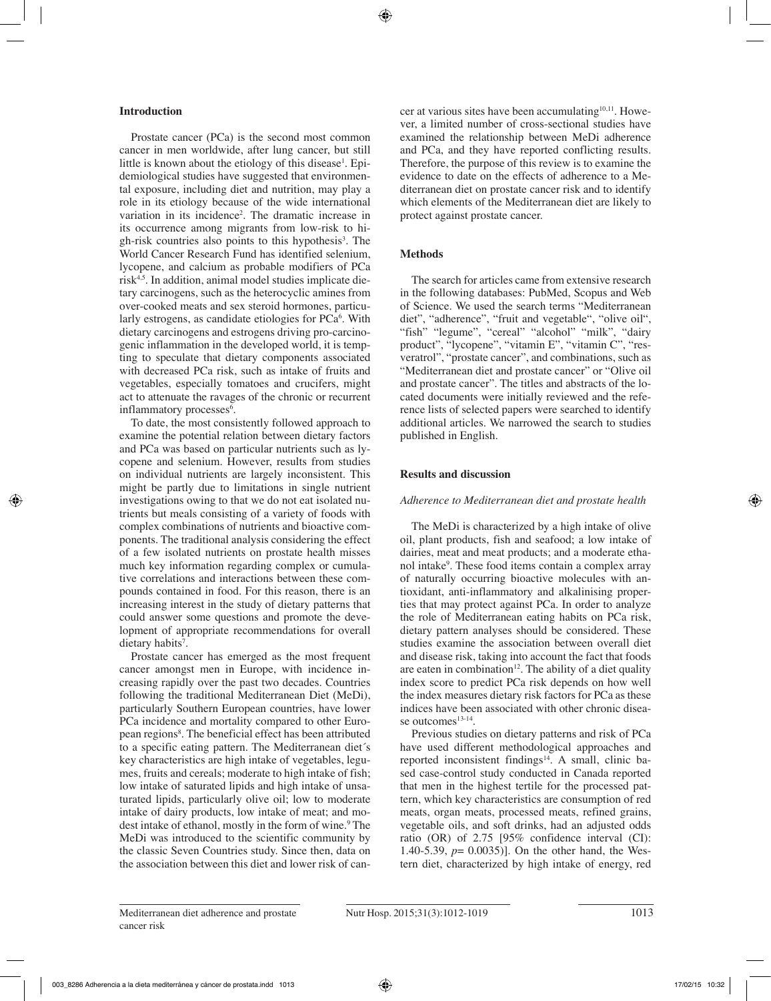#### **Introduction**

Prostate cancer (PCa) is the second most common cancer in men worldwide, after lung cancer, but still little is known about the etiology of this disease<sup>1</sup>. Epidemiological studies have suggested that environmental exposure, including diet and nutrition, may play a role in its etiology because of the wide international variation in its incidence2 . The dramatic increase in its occurrence among migrants from low-risk to high-risk countries also points to this hypothesis<sup>3</sup>. The World Cancer Research Fund has identified selenium, lycopene, and calcium as probable modifiers of PCa  $risk<sup>4,5</sup>$ . In addition, animal model studies implicate dietary carcinogens, such as the heterocyclic amines from over-cooked meats and sex steroid hormones, particularly estrogens, as candidate etiologies for PCa<sup>6</sup>. With dietary carcinogens and estrogens driving pro-carcinogenic inflammation in the developed world, it is tempting to speculate that dietary components associated with decreased PCa risk, such as intake of fruits and vegetables, especially tomatoes and crucifers, might act to attenuate the ravages of the chronic or recurrent inflammatory processes<sup>6</sup>.

To date, the most consistently followed approach to examine the potential relation between dietary factors and PCa was based on particular nutrients such as lycopene and selenium. However, results from studies on individual nutrients are largely inconsistent. This might be partly due to limitations in single nutrient investigations owing to that we do not eat isolated nutrients but meals consisting of a variety of foods with complex combinations of nutrients and bioactive components. The traditional analysis considering the effect of a few isolated nutrients on prostate health misses much key information regarding complex or cumulative correlations and interactions between these compounds contained in food. For this reason, there is an increasing interest in the study of dietary patterns that could answer some questions and promote the development of appropriate recommendations for overall dietary habits<sup>7</sup>.

Prostate cancer has emerged as the most frequent cancer amongst men in Europe, with incidence increasing rapidly over the past two decades. Countries following the traditional Mediterranean Diet (MeDi), particularly Southern European countries, have lower PCa incidence and mortality compared to other European regions<sup>8</sup>. The beneficial effect has been attributed to a specific eating pattern. The Mediterranean diet´s key characteristics are high intake of vegetables, legumes, fruits and cereals; moderate to high intake of fish; low intake of saturated lipids and high intake of unsaturated lipids, particularly olive oil; low to moderate intake of dairy products, low intake of meat; and modest intake of ethanol, mostly in the form of wine.<sup>9</sup> The MeDi was introduced to the scientific community by the classic Seven Countries study. Since then, data on the association between this diet and lower risk of cancer at various sites have been accumulating $10,11$ . However, a limited number of cross-sectional studies have examined the relationship between MeDi adherence and PCa, and they have reported conflicting results. Therefore, the purpose of this review is to examine the evidence to date on the effects of adherence to a Mediterranean diet on prostate cancer risk and to identify which elements of the Mediterranean diet are likely to protect against prostate cancer.

## **Methods**

The search for articles came from extensive research in the following databases: PubMed, Scopus and Web of Science. We used the search terms "Mediterranean diet", "adherence", "fruit and vegetable", "olive oil", "fish" "legume", "cereal" "alcohol" "milk", "dairy product", "lycopene", "vitamin E", "vitamin C", "resveratrol", "prostate cancer", and combinations, such as "Mediterranean diet and prostate cancer" or "Olive oil and prostate cancer". The titles and abstracts of the located documents were initially reviewed and the reference lists of selected papers were searched to identify additional articles. We narrowed the search to studies published in English.

## **Results and discussion**

## *Adherence to Mediterranean diet and prostate health*

The MeDi is characterized by a high intake of olive oil, plant products, fish and seafood; a low intake of dairies, meat and meat products; and a moderate ethanol intake<sup>9</sup>. These food items contain a complex array of naturally occurring bioactive molecules with antioxidant, anti-inflammatory and alkalinising properties that may protect against PCa. In order to analyze the role of Mediterranean eating habits on PCa risk, dietary pattern analyses should be considered. These studies examine the association between overall diet and disease risk, taking into account the fact that foods are eaten in combination<sup>12</sup>. The ability of a diet quality index score to predict PCa risk depends on how well the index measures dietary risk factors for PCa as these indices have been associated with other chronic disease outcomes<sup>13-14</sup>.

Previous studies on dietary patterns and risk of PCa have used different methodological approaches and reported inconsistent findings<sup>14</sup>. A small, clinic based case-control study conducted in Canada reported that men in the highest tertile for the processed pattern, which key characteristics are consumption of red meats, organ meats, processed meats, refined grains, vegetable oils, and soft drinks, had an adjusted odds ratio (OR) of 2.75 [95% confidence interval (CI): 1.40-5.39, *p*= 0.0035)]. On the other hand, the Western diet, characterized by high intake of energy, red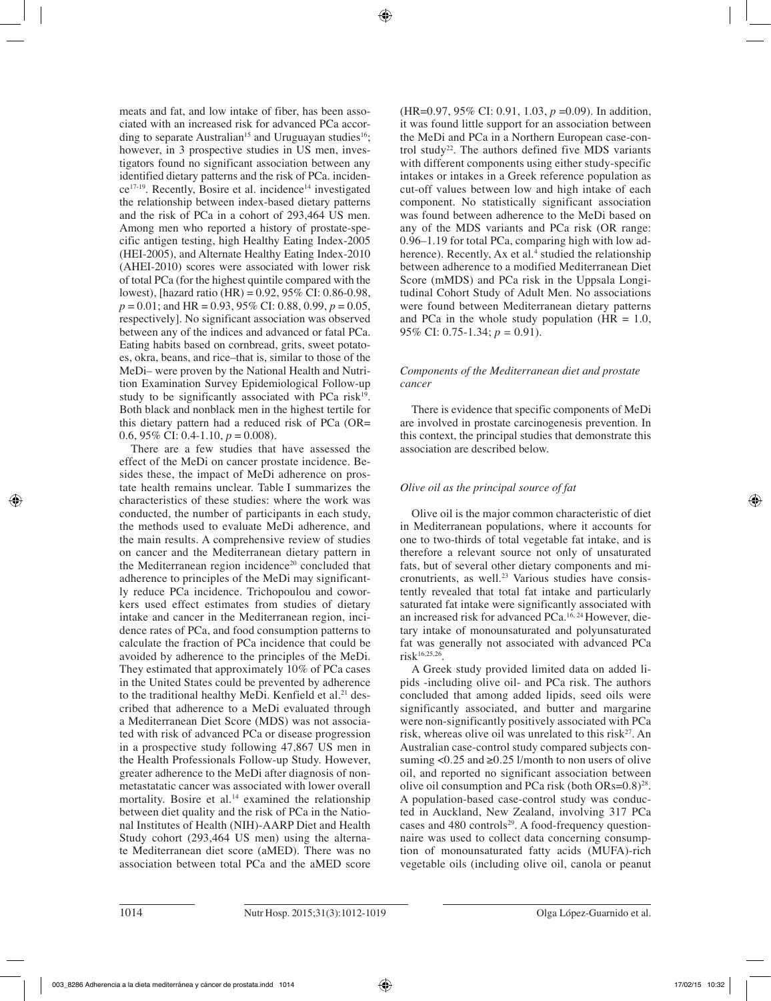meats and fat, and low intake of fiber, has been associated with an increased risk for advanced PCa according to separate Australian<sup>15</sup> and Uruguayan studies<sup>16</sup>; however, in 3 prospective studies in US men, investigators found no significant association between any identified dietary patterns and the risk of PCa. inciden $ce^{17-19}$ . Recently, Bosire et al. incidence<sup>14</sup> investigated the relationship between index-based dietary patterns and the risk of PCa in a cohort of 293,464 US men. Among men who reported a history of prostate-specific antigen testing, high Healthy Eating Index-2005 (HEI-2005), and Alternate Healthy Eating Index-2010 (AHEI-2010) scores were associated with lower risk of total PCa (for the highest quintile compared with the lowest), [hazard ratio (HR) = 0.92, 95% CI: 0.86-0.98, *p* = 0.01; and HR = 0.93, 95% CI: 0.88, 0.99, *p* = 0.05, respectively]. No significant association was observed between any of the indices and advanced or fatal PCa. Eating habits based on cornbread, grits, sweet potatoes, okra, beans, and rice–that is, similar to those of the MeDi– were proven by the National Health and Nutrition Examination Survey Epidemiological Follow-up study to be significantly associated with PCa risk $19$ . Both black and nonblack men in the highest tertile for this dietary pattern had a reduced risk of PCa (OR= 0.6,  $95\%$  CI: 0.4-1.10,  $p = 0.008$ ).

There are a few studies that have assessed the effect of the MeDi on cancer prostate incidence. Besides these, the impact of MeDi adherence on prostate health remains unclear. Table I summarizes the characteristics of these studies: where the work was conducted, the number of participants in each study, the methods used to evaluate MeDi adherence, and the main results. A comprehensive review of studies on cancer and the Mediterranean dietary pattern in the Mediterranean region incidence<sup>20</sup> concluded that adherence to principles of the MeDi may significantly reduce PCa incidence. Trichopoulou and coworkers used effect estimates from studies of dietary intake and cancer in the Mediterranean region, incidence rates of PCa, and food consumption patterns to calculate the fraction of PCa incidence that could be avoided by adherence to the principles of the MeDi. They estimated that approximately 10% of PCa cases in the United States could be prevented by adherence to the traditional healthy MeDi. Kenfield et al.<sup>21</sup> described that adherence to a MeDi evaluated through a Mediterranean Diet Score (MDS) was not associated with risk of advanced PCa or disease progression in a prospective study following 47,867 US men in the Health Professionals Follow-up Study. However, greater adherence to the MeDi after diagnosis of nonmetastatatic cancer was associated with lower overall mortality. Bosire et al.<sup>14</sup> examined the relationship between diet quality and the risk of PCa in the National Institutes of Health (NIH)-AARP Diet and Health Study cohort (293,464 US men) using the alternate Mediterranean diet score (aMED). There was no association between total PCa and the aMED score

(HR=0.97, 95% CI: 0.91, 1.03, *p* =0.09). In addition, it was found little support for an association between the MeDi and PCa in a Northern European case-control study<sup>22</sup>. The authors defined five MDS variants with different components using either study-specific intakes or intakes in a Greek reference population as cut-off values between low and high intake of each component. No statistically significant association was found between adherence to the MeDi based on any of the MDS variants and PCa risk (OR range: 0.96–1.19 for total PCa, comparing high with low adherence). Recently, Ax et al.<sup>4</sup> studied the relationship between adherence to a modified Mediterranean Diet Score (mMDS) and PCa risk in the Uppsala Longitudinal Cohort Study of Adult Men. No associations were found between Mediterranean dietary patterns and PCa in the whole study population ( $\overline{HR} = 1.0$ , 95% CI: 0.75-1.34; *p =* 0.91).

#### *Components of the Mediterranean diet and prostate cancer*

There is evidence that specific components of MeDi are involved in prostate carcinogenesis prevention. In this context, the principal studies that demonstrate this association are described below.

## *Olive oil as the principal source of fat*

Olive oil is the major common characteristic of diet in Mediterranean populations, where it accounts for one to two-thirds of total vegetable fat intake, and is therefore a relevant source not only of unsaturated fats, but of several other dietary components and micronutrients, as well.<sup>23</sup> Various studies have consistently revealed that total fat intake and particularly saturated fat intake were significantly associated with an increased risk for advanced PCa.16, 24 However, dietary intake of monounsaturated and polyunsaturated fat was generally not associated with advanced PCa  $risk^{16,25,26}$ .

A Greek study provided limited data on added lipids -including olive oil- and PCa risk. The authors concluded that among added lipids, seed oils were significantly associated, and butter and margarine were non-significantly positively associated with PCa risk, whereas olive oil was unrelated to this risk<sup>27</sup>. An Australian case-control study compared subjects consuming  $\langle 0.25 \text{ and } \ge 0.25 \text{ } 1 \rangle$  month to non users of olive oil, and reported no significant association between olive oil consumption and PCa risk (both  $ORs=0.8$ )<sup>28</sup>. A population-based case-control study was conducted in Auckland, New Zealand, involving 317 PCa cases and  $480$  controls<sup>29</sup>. A food-frequency questionnaire was used to collect data concerning consumption of monounsaturated fatty acids (MUFA)-rich vegetable oils (including olive oil, canola or peanut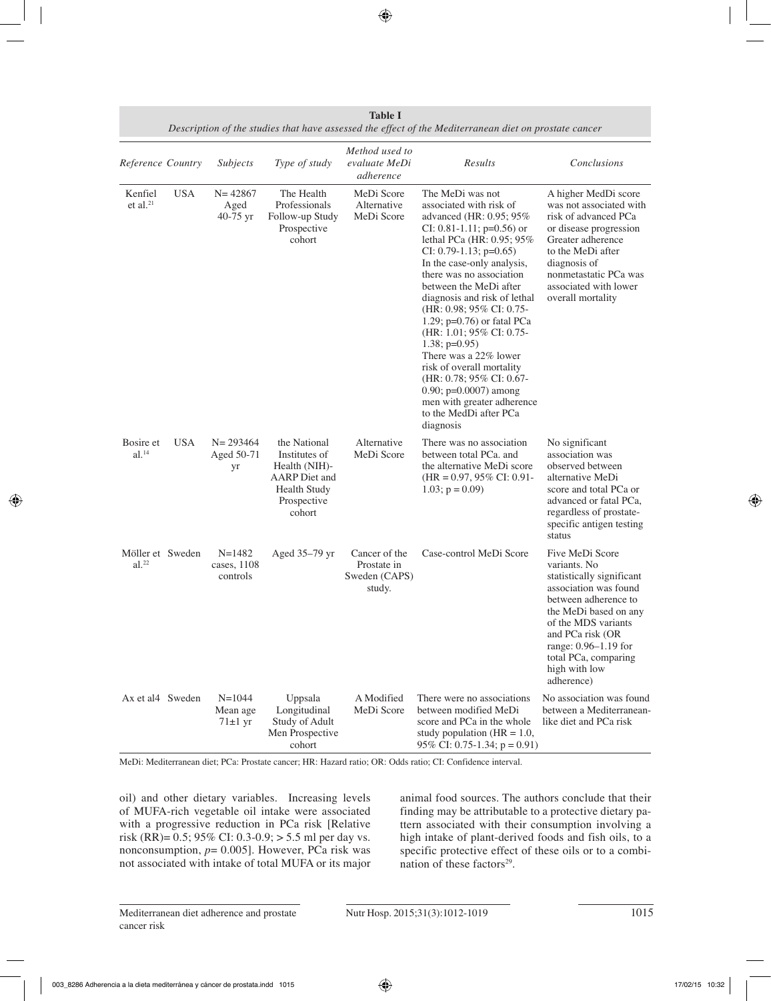| Reference Country                       |            | Subjects                              | Type of study                                                                                                          | Method used to<br>evaluate MeDi<br>adherence            | Results                                                                                                                                                                                                                                                                                                                                                                                                                                                                                                                                                                               | Conclusions                                                                                                                                                                                                                                                      |
|-----------------------------------------|------------|---------------------------------------|------------------------------------------------------------------------------------------------------------------------|---------------------------------------------------------|---------------------------------------------------------------------------------------------------------------------------------------------------------------------------------------------------------------------------------------------------------------------------------------------------------------------------------------------------------------------------------------------------------------------------------------------------------------------------------------------------------------------------------------------------------------------------------------|------------------------------------------------------------------------------------------------------------------------------------------------------------------------------------------------------------------------------------------------------------------|
| Kenfiel<br>et al. $21$                  | <b>USA</b> | $N = 42867$<br>Aged<br>40-75 $yr$     | The Health<br>Professionals<br>Follow-up Study<br>Prospective<br>cohort                                                | MeDi Score<br>Alternative<br>MeDi Score                 | The MeDi was not<br>associated with risk of<br>advanced (HR: 0.95; 95%<br>CI: 0.81-1.11; $p=0.56$ ) or<br>lethal PCa (HR: 0.95; 95%<br>CI: 0.79-1.13; $p=0.65$ )<br>In the case-only analysis,<br>there was no association<br>between the MeDi after<br>diagnosis and risk of lethal<br>(HR: 0.98; 95% CI: 0.75-<br>1.29; $p=0.76$ ) or fatal PCa<br>(HR: $1.01$ ; 95% CI: 0.75-<br>$1.38; p=0.95$<br>There was a 22% lower<br>risk of overall mortality<br>(HR: 0.78; 95% CI: 0.67-<br>$0.90; p=0.0007$ ) among<br>men with greater adherence<br>to the MedDi after PCa<br>diagnosis | A higher MedDi score<br>was not associated with<br>risk of advanced PCa<br>or disease progression<br>Greater adherence<br>to the MeDi after<br>diagnosis of<br>nonmetastatic PCa was<br>associated with lower<br>overall mortality                               |
| Bosire et<br>$al.^{14}$                 | <b>USA</b> | $N = 293464$<br>Aged 50-71<br>yr      | the National<br>Institutes of<br>Health (NIH)-<br><b>AARP</b> Diet and<br><b>Health Study</b><br>Prospective<br>cohort | Alternative<br>MeDi Score                               | There was no association<br>between total PCa. and<br>the alternative MeDi score<br>$(HR = 0.97, 95\% \text{ CI: } 0.91$<br>$1.03$ ; $p = 0.09$ )                                                                                                                                                                                                                                                                                                                                                                                                                                     | No significant<br>association was<br>observed between<br>alternative MeDi<br>score and total PCa or<br>advanced or fatal PCa,<br>regardless of prostate-<br>specific antigen testing<br>status                                                                   |
| Möller et Sweden<br>$al.$ <sup>22</sup> |            | $N = 1482$<br>cases, 1108<br>controls | Aged 35-79 yr                                                                                                          | Cancer of the<br>Prostate in<br>Sweden (CAPS)<br>study. | Case-control MeDi Score                                                                                                                                                                                                                                                                                                                                                                                                                                                                                                                                                               | Five MeDi Score<br>variants. No<br>statistically significant<br>association was found<br>between adherence to<br>the MeDi based on any<br>of the MDS variants<br>and PCa risk (OR<br>range: 0.96–1.19 for<br>total PCa, comparing<br>high with low<br>adherence) |
| Ax et al4 Sweden                        |            | $N = 1044$<br>Mean age<br>$71±1$ yr   | Uppsala<br>Longitudinal<br>Study of Adult<br>Men Prospective<br>cohort                                                 | A Modified<br>MeDi Score                                | There were no associations<br>between modified MeDi<br>score and PCa in the whole<br>study population ( $HR = 1.0$ ,<br>95% CI: 0.75-1.34; $p = 0.91$ )                                                                                                                                                                                                                                                                                                                                                                                                                               | No association was found<br>between a Mediterranean-<br>like diet and PCa risk                                                                                                                                                                                   |

| Table I                                                                                               |
|-------------------------------------------------------------------------------------------------------|
| Description of the studies that have assessed the effect of the Mediterranean diet on prostate cancer |

MeDi: Mediterranean diet; PCa: Prostate cancer; HR: Hazard ratio; OR: Odds ratio; CI: Confidence interval.

oil) and other dietary variables. Increasing levels of MUFA-rich vegetable oil intake were associated with a progressive reduction in PCa risk [Relative risk (RR)=  $0.5$ ; 95% CI: 0.3-0.9; > 5.5 ml per day vs. nonconsumption, *p*= 0.005]. However, PCa risk was not associated with intake of total MUFA or its major animal food sources. The authors conclude that their finding may be attributable to a protective dietary pattern associated with their consumption involving a high intake of plant-derived foods and fish oils, to a specific protective effect of these oils or to a combination of these factors $29$ .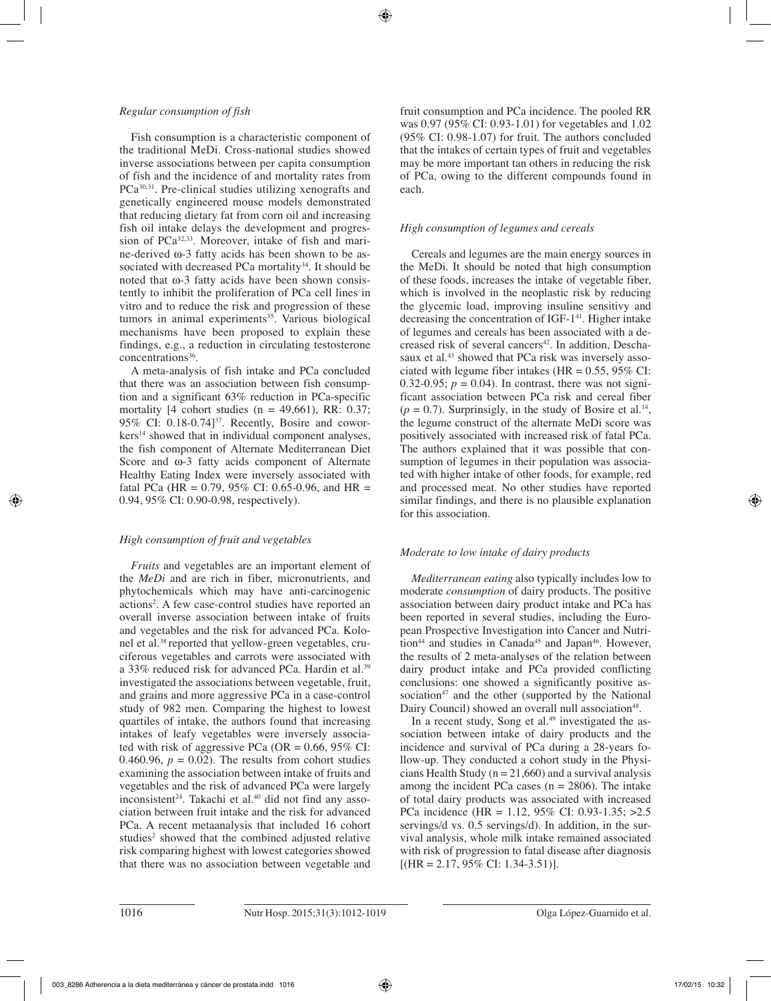#### *Regular consumption of fish*

Fish consumption is a characteristic component of the traditional MeDi. Cross-national studies showed inverse associations between per capita consumption of fish and the incidence of and mortality rates from PCa<sup>30,31</sup>. Pre-clinical studies utilizing xenografts and genetically engineered mouse models demonstrated that reducing dietary fat from corn oil and increasing fish oil intake delays the development and progression of PCa<sup>32,33</sup>. Moreover, intake of fish and marine-derived ω-3 fatty acids has been shown to be associated with decreased PCa mortality<sup>34</sup>. It should be noted that ω-3 fatty acids have been shown consistently to inhibit the proliferation of PCa cell lines in vitro and to reduce the risk and progression of these tumors in animal experiments $35$ . Various biological mechanisms have been proposed to explain these findings, e.g., a reduction in circulating testosterone concentrations<sup>36</sup>.

A meta-analysis of fish intake and PCa concluded that there was an association between fish consumption and a significant 63% reduction in PCa-specific mortality  $[4 \text{ cohort studies} (n = 49,661), RR: 0.37;$ 95% CI:  $0.18-0.74$ <sup>37</sup>. Recently, Bosire and coworkers<sup>14</sup> showed that in individual component analyses, the fish component of Alternate Mediterranean Diet Score and ω-3 fatty acids component of Alternate Healthy Eating Index were inversely associated with fatal PCa (HR =  $0.79$ , 95% CI:  $0.65$ -0.96, and HR = 0.94, 95% CI: 0.90-0.98, respectively).

## *High consumption of fruit and vegetables*

*Fruits* and vegetables are an important element of the *MeDi* and are rich in fiber, micronutrients, and phytochemicals which may have anti-carcinogenic actions2 . A few case-control studies have reported an overall inverse association between intake of fruits and vegetables and the risk for advanced PCa. Kolonel et al.38 reported that yellow-green vegetables, cruciferous vegetables and carrots were associated with a 33% reduced risk for advanced PCa. Hardin et al.<sup>39</sup> investigated the associations between vegetable, fruit, and grains and more aggressive PCa in a case-control study of 982 men. Comparing the highest to lowest quartiles of intake, the authors found that increasing intakes of leafy vegetables were inversely associated with risk of aggressive PCa (OR =  $0.66$ , 95% CI: 0.460.96,  $p = 0.02$ ). The results from cohort studies examining the association between intake of fruits and vegetables and the risk of advanced PCa were largely inconsistent $24$ . Takachi et al. $40$  did not find any association between fruit intake and the risk for advanced PCa. A recent metaanalysis that included 16 cohort studies<sup>2</sup> showed that the combined adjusted relative risk comparing highest with lowest categories showed that there was no association between vegetable and

fruit consumption and PCa incidence. The pooled RR was 0.97 (95% CI: 0.93-1.01) for vegetables and 1.02 (95% CI: 0.98-1.07) for fruit. The authors concluded that the intakes of certain types of fruit and vegetables may be more important tan others in reducing the risk of PCa, owing to the different compounds found in each.

# *High consumption of legumes and cereals*

Cereals and legumes are the main energy sources in the MeDi. It should be noted that high consumption of these foods, increases the intake of vegetable fiber, which is involved in the neoplastic risk by reducing the glycemic load, improving insuline sensitivy and decreasing the concentration of IGF-1<sup>41</sup>. Higher intake of legumes and cereals has been associated with a decreased risk of several cancers<sup>42</sup>. In addition, Deschasaux et al.<sup>43</sup> showed that PCa risk was inversely associated with legume fiber intakes (HR =  $0.55$ ,  $95\%$  CI: 0.32-0.95;  $p = 0.04$ ). In contrast, there was not significant association between PCa risk and cereal fiber  $(p = 0.7)$ . Surprinsigly, in the study of Bosire et al.<sup>14</sup>, the legume construct of the alternate MeDi score was positively associated with increased risk of fatal PCa. The authors explained that it was possible that consumption of legumes in their population was associated with higher intake of other foods, for example, red and processed meat. No other studies have reported similar findings, and there is no plausible explanation for this association.

# *Moderate to low intake of dairy products*

*Mediterranean eating* also typically includes low to moderate *consumption* of dairy products. The positive association between dairy product intake and PCa has been reported in several studies, including the European Prospective Investigation into Cancer and Nutri- $\tau$ tion<sup>44</sup> and studies in Canada<sup>45</sup> and Japan<sup>46</sup>. However, the results of 2 meta-analyses of the relation between dairy product intake and PCa provided conflicting conclusions: one showed a significantly positive association $47$  and the other (supported by the National Dairy Council) showed an overall null association<sup>48</sup>.

In a recent study, Song et al.<sup>49</sup> investigated the association between intake of dairy products and the incidence and survival of PCa during a 28-years follow-up. They conducted a cohort study in the Physicians Health Study ( $n = 21,660$ ) and a survival analysis among the incident PCa cases  $(n = 2806)$ . The intake of total dairy products was associated with increased PCa incidence (HR = 1.12, 95% CI: 0.93-1.35; >2.5 servings/d vs. 0.5 servings/d). In addition, in the survival analysis, whole milk intake remained associated with risk of progression to fatal disease after diagnosis  $[(HR = 2.17, 95\% \text{ CI: } 1.34-3.51)].$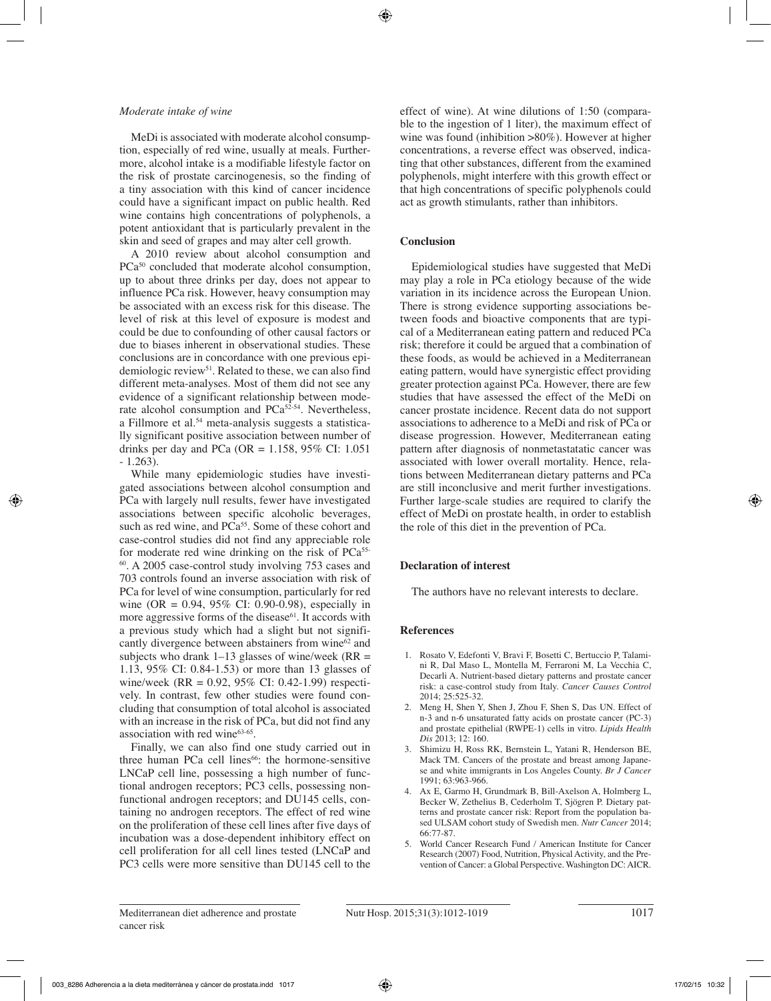#### *Moderate intake of wine*

MeDi is associated with moderate alcohol consumption, especially of red wine, usually at meals. Furthermore, alcohol intake is a modifiable lifestyle factor on the risk of prostate carcinogenesis, so the finding of a tiny association with this kind of cancer incidence could have a significant impact on public health. Red wine contains high concentrations of polyphenols, a potent antioxidant that is particularly prevalent in the skin and seed of grapes and may alter cell growth.

A 2010 review about alcohol consumption and PCa<sup>50</sup> concluded that moderate alcohol consumption, up to about three drinks per day, does not appear to influence PCa risk. However, heavy consumption may be associated with an excess risk for this disease. The level of risk at this level of exposure is modest and could be due to confounding of other causal factors or due to biases inherent in observational studies. These conclusions are in concordance with one previous epidemiologic review<sup>51</sup>. Related to these, we can also find different meta-analyses. Most of them did not see any evidence of a significant relationship between moderate alcohol consumption and  $PCa^{52-54}$ . Nevertheless, a Fillmore et al.54 meta-analysis suggests a statistically significant positive association between number of drinks per day and PCa (OR =  $1.158$ , 95% CI:  $1.051$ ) - 1.263).

While many epidemiologic studies have investigated associations between alcohol consumption and PCa with largely null results, fewer have investigated associations between specific alcoholic beverages, such as red wine, and  $PCa^{55}$ . Some of these cohort and case-control studies did not find any appreciable role for moderate red wine drinking on the risk of PCa<sup>55-</sup> 60. A 2005 case-control study involving 753 cases and 703 controls found an inverse association with risk of PCa for level of wine consumption, particularly for red wine (OR = 0.94, 95% CI: 0.90-0.98), especially in more aggressive forms of the disease $61$ . It accords with a previous study which had a slight but not significantly divergence between abstainers from wine<sup>62</sup> and subjects who drank  $1-13$  glasses of wine/week (RR = 1.13, 95% CI: 0.84-1.53) or more than 13 glasses of wine/week (RR = 0.92, 95% CI: 0.42-1.99) respectively. In contrast, few other studies were found concluding that consumption of total alcohol is associated with an increase in the risk of PCa, but did not find any association with red wine<sup>63-65</sup>.

Finally, we can also find one study carried out in three human PCa cell lines<sup>66</sup>: the hormone-sensitive LNCaP cell line, possessing a high number of functional androgen receptors; PC3 cells, possessing nonfunctional androgen receptors; and DU145 cells, containing no androgen receptors. The effect of red wine on the proliferation of these cell lines after five days of incubation was a dose-dependent inhibitory effect on cell proliferation for all cell lines tested (LNCaP and PC3 cells were more sensitive than DU145 cell to the effect of wine). At wine dilutions of 1:50 (comparable to the ingestion of 1 liter), the maximum effect of wine was found (inhibition >80%). However at higher concentrations, a reverse effect was observed, indicating that other substances, different from the examined polyphenols, might interfere with this growth effect or that high concentrations of specific polyphenols could act as growth stimulants, rather than inhibitors.

#### **Conclusion**

Epidemiological studies have suggested that MeDi may play a role in PCa etiology because of the wide variation in its incidence across the European Union. There is strong evidence supporting associations between foods and bioactive components that are typical of a Mediterranean eating pattern and reduced PCa risk; therefore it could be argued that a combination of these foods, as would be achieved in a Mediterranean eating pattern, would have synergistic effect providing greater protection against PCa. However, there are few studies that have assessed the effect of the MeDi on cancer prostate incidence. Recent data do not support associations to adherence to a MeDi and risk of PCa or disease progression. However, Mediterranean eating pattern after diagnosis of nonmetastatatic cancer was associated with lower overall mortality. Hence, relations between Mediterranean dietary patterns and PCa are still inconclusive and merit further investigations. Further large-scale studies are required to clarify the effect of MeDi on prostate health, in order to establish the role of this diet in the prevention of PCa.

#### **Declaration of interest**

The authors have no relevant interests to declare.

#### **References**

- 1. Rosato V, Edefonti V, Bravi F, Bosetti C, Bertuccio P, Talamini R, Dal Maso L, Montella M, Ferraroni M, La Vecchia C, Decarli A. Nutrient-based dietary patterns and prostate cancer risk: a case-control study from Italy. *Cancer Causes Control* 2014; 25:525-32.
- 2. Meng H, Shen Y, Shen J, Zhou F, Shen S, Das UN. Effect of n-3 and n-6 unsaturated fatty acids on prostate cancer (PC-3) and prostate epithelial (RWPE-1) cells in vitro. *Lipids Health Dis* 2013; 12: 160.
- 3. Shimizu H, Ross RK, Bernstein L, Yatani R, Henderson BE, Mack TM. Cancers of the prostate and breast among Japanese and white immigrants in Los Angeles County. *Br J Cancer* 1991; 63:963-966.
- 4. Ax E, Garmo H, Grundmark B, Bill-Axelson A, Holmberg L, Becker W, Zethelius B, Cederholm T, Sjögren P. Dietary patterns and prostate cancer risk: Report from the population based ULSAM cohort study of Swedish men. *Nutr Cancer* 2014; 66:77-87.
- 5. World Cancer Research Fund / American Institute for Cancer Research (2007) Food, Nutrition, Physical Activity, and the Prevention of Cancer: a Global Perspective. Washington DC: AICR.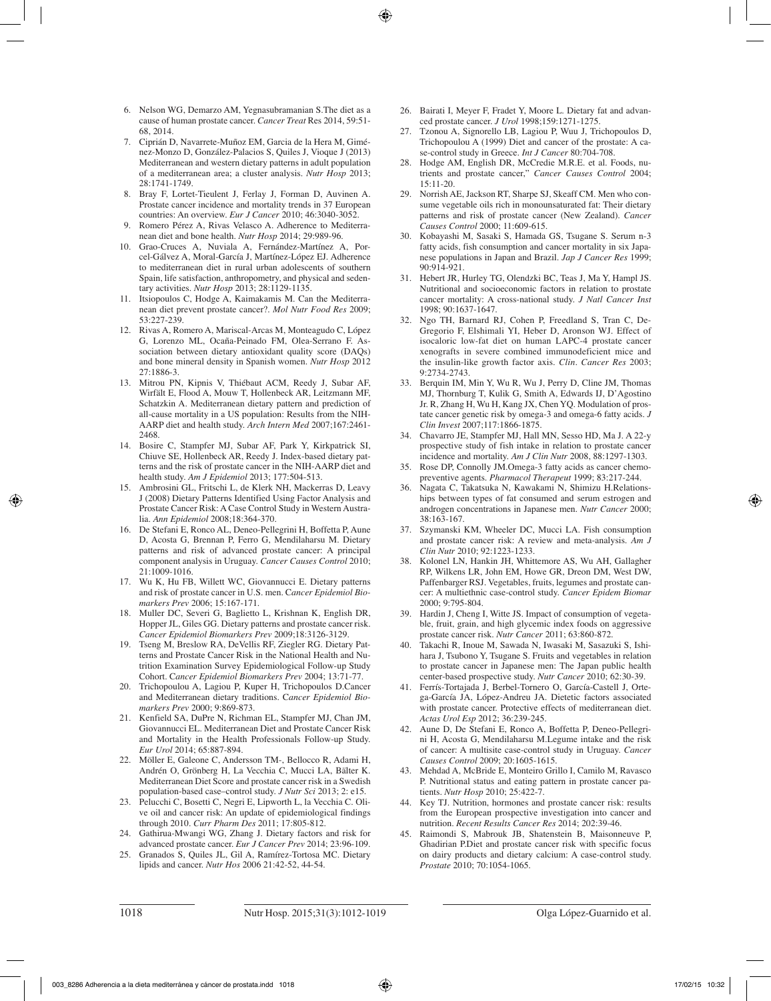- 6. Nelson WG, Demarzo AM, Yegnasubramanian S.The diet as a cause of human prostate cancer. *Cancer Treat* Res 2014, 59:51- 68, 2014.
- 7. Ciprián D, Navarrete-Muñoz EM, Garcia de la Hera M, Giménez-Monzo D, González-Palacios S, Quiles J, Vioque J (2013) Mediterranean and western dietary patterns in adult population of a mediterranean area; a cluster analysis. *Nutr Hosp* 2013; 28:1741-1749.
- 8. Bray F, Lortet-Tieulent J, Ferlay J, Forman D, Auvinen A. Prostate cancer incidence and mortality trends in 37 European countries: An overview. *Eur J Cancer* 2010; 46:3040-3052.
- 9. Romero Pérez A, Rivas Velasco A. Adherence to Mediterranean diet and bone health. *Nutr Hosp* 2014; 29:989-96.
- 10. Grao-Cruces A, Nuviala A, Fernández-Martínez A, Porcel-Gálvez A, Moral-García J, Martínez-López EJ. Adherence to mediterranean diet in rural urban adolescents of southern Spain, life satisfaction, anthropometry, and physical and sedentary activities. *Nutr Hosp* 2013; 28:1129-1135.
- 11. Itsiopoulos C, Hodge A, Kaimakamis M. Can the Mediterranean diet prevent prostate cancer?. *Mol Nutr Food Res* 2009; 53:227-239.
- 12. Rivas A, Romero A, Mariscal-Arcas M, Monteagudo C, López G, Lorenzo ML, Ocaña-Peinado FM, Olea-Serrano F. Association between dietary antioxidant quality score (DAQs) and bone mineral density in Spanish women. *Nutr Hosp* 2012 27:1886-3.
- 13. Mitrou PN, Kipnis V, Thiébaut ACM, Reedy J, Subar AF, Wirfält E, Flood A, Mouw T, Hollenbeck AR, Leitzmann MF, Schatzkin A. Mediterranean dietary pattern and prediction of all-cause mortality in a US population: Results from the NIH-AARP diet and health study. *Arch Intern Med* 2007;167:2461- 2468.
- 14. Bosire C, Stampfer MJ, Subar AF, Park Y, Kirkpatrick SI, Chiuve SE, Hollenbeck AR, Reedy J. Index-based dietary patterns and the risk of prostate cancer in the NIH-AARP diet and health study. *Am J Epidemiol* 2013; 177:504-513.
- 15. Ambrosini GL, Fritschi L, de Klerk NH, Mackerras D, Leavy J (2008) Dietary Patterns Identified Using Factor Analysis and Prostate Cancer Risk: A Case Control Study in Western Australia. *Ann Epidemiol* 2008;18:364-370.
- 16. De Stefani E, Ronco AL, Deneo-Pellegrini H, Boffetta P, Aune D, Acosta G, Brennan P, Ferro G, Mendilaharsu M. Dietary patterns and risk of advanced prostate cancer: A principal component analysis in Uruguay. *Cancer Causes Control* 2010; 21:1009-1016.
- 17. Wu K, Hu FB, Willett WC, Giovannucci E. Dietary patterns and risk of prostate cancer in U.S. men. C*ancer Epidemiol Biomarkers Prev* 2006; 15:167-171.
- 18. Muller DC, Severi G, Baglietto L, Krishnan K, English DR, Hopper JL, Giles GG. Dietary patterns and prostate cancer risk. *Cancer Epidemiol Biomarkers Prev* 2009;18:3126-3129.
- 19. Tseng M, Breslow RA, DeVellis RF, Ziegler RG. Dietary Patterns and Prostate Cancer Risk in the National Health and Nutrition Examination Survey Epidemiological Follow-up Study Cohort. C*ancer Epidemiol Biomarkers Prev* 2004; 13:71-77.
- 20. Trichopoulou A, Lagiou P, Kuper H, Trichopoulos D.Cancer and Mediterranean dietary traditions. C*ancer Epidemiol Biomarkers Prev* 2000; 9:869-873.
- 21. Kenfield SA, DuPre N, Richman EL, Stampfer MJ, Chan JM, Giovannucci EL. Mediterranean Diet and Prostate Cancer Risk and Mortality in the Health Professionals Follow-up Study. *Eur Urol* 2014; 65:887-894.
- 22. Möller E, Galeone C, Andersson TM-, Bellocco R, Adami H, Andrén O, Grönberg H, La Vecchia C, Mucci LA, Bälter K. Mediterranean Diet Score and prostate cancer risk in a Swedish population-based case–control study. *J Nutr Sci* 2013; 2: e15.
- 23. Pelucchi C, Bosetti C, Negri E, Lipworth L, la Vecchia C. Olive oil and cancer risk: An update of epidemiological findings through 2010. *Curr Pharm Des* 2011; 17:805-812.
- 24. Gathirua-Mwangi WG, Zhang J. Dietary factors and risk for advanced prostate cancer. *Eur J Cancer Prev* 2014; 23:96-109.
- 25. Granados S, Quiles JL, Gil A, Ramírez-Tortosa MC. Dietary lipids and cancer. *Nutr Hos* 2006 21:42-52, 44-54.
- 26. Bairati I, Meyer F, Fradet Y, Moore L. Dietary fat and advanced prostate cancer. *J Urol* 1998;159:1271-1275.
- 27. Tzonou A, Signorello LB, Lagiou P, Wuu J, Trichopoulos D, Trichopoulou A (1999) Diet and cancer of the prostate: A case-control study in Greece. *Int J Cancer* 80:704-708.
- 28. Hodge AM, English DR, McCredie M.R.E. et al. Foods, nutrients and prostate cancer," *Cancer Causes Control* 2004; 15:11-20.
- 29. Norrish AE, Jackson RT, Sharpe SJ, Skeaff CM. Men who consume vegetable oils rich in monounsaturated fat: Their dietary patterns and risk of prostate cancer (New Zealand). *Cancer Causes Control* 2000; 11:609-615.
- 30. Kobayashi M, Sasaki S, Hamada GS, Tsugane S. Serum n-3 fatty acids, fish consumption and cancer mortality in six Japanese populations in Japan and Brazil. *Jap J Cancer Res* 1999; 90:914-921.
- 31. Hebert JR, Hurley TG, Olendzki BC, Teas J, Ma Y, Hampl JS. Nutritional and socioeconomic factors in relation to prostate cancer mortality: A cross-national study. *J Natl Cancer Inst* 1998; 90:1637-1647.
- 32. Ngo TH, Barnard RJ, Cohen P, Freedland S, Tran C, De-Gregorio F, Elshimali YI, Heber D, Aronson WJ. Effect of isocaloric low-fat diet on human LAPC-4 prostate cancer xenografts in severe combined immunodeficient mice and the insulin-like growth factor axis. *Clin. Cancer Res* 2003; 9:2734-2743.
- 33. Berquin IM, Min Y, Wu R, Wu J, Perry D, Cline JM, Thomas MJ, Thornburg T, Kulik G, Smith A, Edwards IJ, D'Agostino Jr. R, Zhang H, Wu H, Kang JX, Chen YQ. Modulation of prostate cancer genetic risk by omega-3 and omega-6 fatty acids. *J Clin Invest* 2007;117:1866-1875.
- 34. Chavarro JE, Stampfer MJ, Hall MN, Sesso HD, Ma J. A 22-y prospective study of fish intake in relation to prostate cancer incidence and mortality. *Am J Clin Nutr* 2008, 88:1297-1303.
- 35. Rose DP, Connolly JM.Omega-3 fatty acids as cancer chemopreventive agents. *Pharmacol Therapeut* 1999; 83:217-244.
- 36. Nagata C, Takatsuka N, Kawakami N, Shimizu H.Relationships between types of fat consumed and serum estrogen and androgen concentrations in Japanese men. *Nutr Cancer* 2000; 38:163-167.
- 37. Szymanski KM, Wheeler DC, Mucci LA. Fish consumption and prostate cancer risk: A review and meta-analysis. *Am J Clin Nutr* 2010; 92:1223-1233.
- 38. Kolonel LN, Hankin JH, Whittemore AS, Wu AH, Gallagher RP, Wilkens LR, John EM, Howe GR, Dreon DM, West DW, Paffenbarger RSJ. Vegetables, fruits, legumes and prostate cancer: A multiethnic case-control study. *Cancer Epidem Biomar* 2000; 9:795-804.
- 39. Hardin J, Cheng I, Witte JS. Impact of consumption of vegetable, fruit, grain, and high glycemic index foods on aggressive prostate cancer risk. *Nutr Cancer* 2011; 63:860-872.
- 40. Takachi R, Inoue M, Sawada N, Iwasaki M, Sasazuki S, Ishihara J, Tsubono Y, Tsugane S. Fruits and vegetables in relation to prostate cancer in Japanese men: The Japan public health center-based prospective study. *Nutr Cancer* 2010; 62:30-39.
- 41. Ferrís-Tortajada J, Berbel-Tornero O, García-Castell J, Ortega-García JA, López-Andreu JA. Dietetic factors associated with prostate cancer. Protective effects of mediterranean diet. *Actas Urol Esp* 2012; 36:239-245.
- 42. Aune D, De Stefani E, Ronco A, Boffetta P, Deneo-Pellegrini H, Acosta G, Mendilaharsu M.Legume intake and the risk of cancer: A multisite case-control study in Uruguay. *Cancer Causes Control* 2009; 20:1605-1615.
- 43. Mehdad A, McBride E, Monteiro Grillo I, Camilo M, Ravasco P. Nutritional status and eating pattern in prostate cancer patients. *Nutr Hosp* 2010; 25:422-7.
- 44. Key TJ. Nutrition, hormones and prostate cancer risk: results from the European prospective investigation into cancer and nutrition. *Recent Results Cancer Res* 2014; 202:39-46.
- 45. Raimondi S, Mabrouk JB, Shatenstein B, Maisonneuve P, Ghadirian P.Diet and prostate cancer risk with specific focus on dairy products and dietary calcium: A case-control study. *Prostate* 2010; 70:1054-1065.